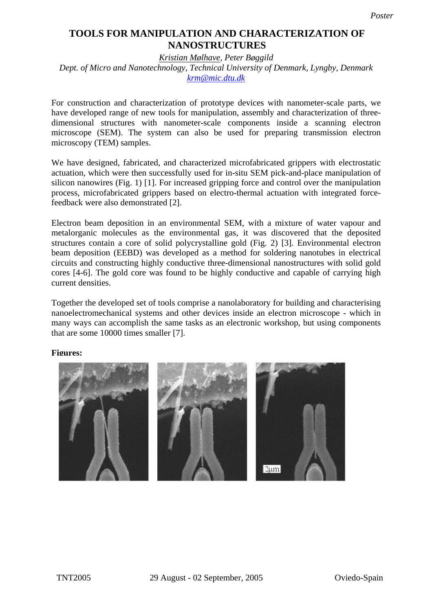## $\overline{a}$ **TOOLS FOR MANIPULATION AND CHARACTERIZATION OF NANOSTRUCTURES**

*Kristian Mølhave, Peter Bøggild* 

*Dept. of Micro and Nanotechnology, Technical University of Denmark, Lyngby, Denmark krm@mic.dtu.dk*

For construction and characterization of prototype devices with nanometer-scale parts, we have developed range of new tools for manipulation, assembly and characterization of threedimensional structures with nanometer-scale components inside a scanning electron microscope (SEM). The system can also be used for preparing transmission electron microscopy (TEM) samples.

We have designed, fabricated, and characterized microfabricated grippers with electrostatic actuation, which were then successfully used for in-situ SEM pick-and-place manipulation of silicon nanowires (Fig. 1) [1]. For increased gripping force and control over the manipulation process, microfabricated grippers based on electro-thermal actuation with integrated forcefeedback were also demonstrated [2].

Electron beam deposition in an environmental SEM, with a mixture of water vapour and metalorganic molecules as the environmental gas, it was discovered that the deposited structures contain a core of solid polycrystalline gold (Fig. 2) [3]. Environmental electron beam deposition (EEBD) was developed as a method for soldering nanotubes in electrical circuits and constructing highly conductive three-dimensional nanostructures with solid gold cores [4-6]. The gold core was found to be highly conductive and capable of carrying high current densities.

Together the developed set of tools comprise a nanolaboratory for building and characterising nanoelectromechanical systems and other devices inside an electron microscope - which in many ways can accomplish the same tasks as an electronic workshop, but using components that are some 10000 times smaller [7].

## **Figures:**